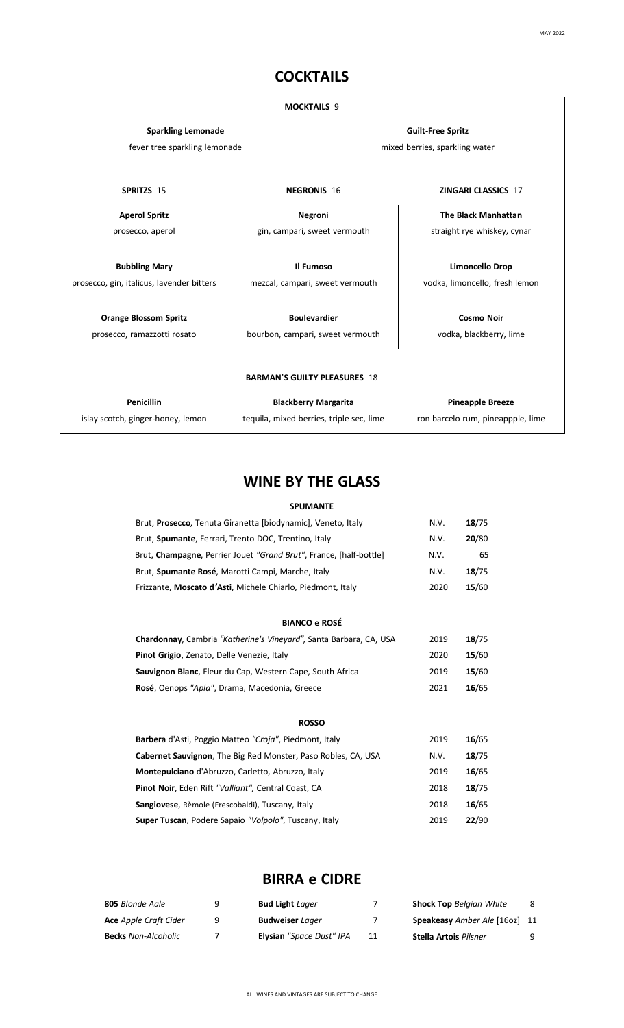## **COCKTAILS**

#### **MOCKTAILS** 9 **Sparkling Lemonade** fever tree sparkling lemonade **Guilt-Free Spritz** mixed berries, sparkling water **SPRITZS** 15 **NEGRONIS** 16 **ZINGARI CLASSICS** 17 **Aperol Spritz** prosecco, aperol **Bubbling Mary** prosecco, gin, italicus, lavender bitters **Orange Blossom Spritz** prosecco, ramazzotti rosato **Negroni** gin, campari, sweet vermouth **Il Fumoso** mezcal, campari, sweet vermouth **Boulevardier** bourbon, campari, sweet vermouth **The Black Manhattan** straight rye whiskey, cynar **Limoncello Drop** vodka, limoncello, fresh lemon **Cosmo Noir** vodka, blackberry, lime **BARMAN'S GUILTY PLEASURES** 18 **Penicillin Blackberry Margarita**

islay scotch, ginger-honey, lemon

tequila, mixed berries, triple sec, lime

**Pineapple Breeze** ron barcelo rum, pineappple, lime

### **WINE BY THE GLASS**

#### **SPUMANTE**

| Brut, <b>Prosecco</b> , Tenuta Giranetta [biodynamic], Veneto, Italy  | N.V. | 18/75 |
|-----------------------------------------------------------------------|------|-------|
| Brut, Spumante, Ferrari, Trento DOC, Trentino, Italy                  | N.V. | 20/80 |
| Brut, Champagne, Perrier Jouet "Grand Brut", France, [half-bottle]    | N.V. | 65    |
| Brut, Spumante Rosé, Marotti Campi, Marche, Italy                     | N.V. | 18/75 |
| Frizzante, Moscato d'Asti, Michele Chiarlo, Piedmont, Italy           | 2020 | 15/60 |
| <b>BIANCO e ROSÉ</b>                                                  |      |       |
|                                                                       |      |       |
| Chardonnay, Cambria "Katherine's Vineyard", Santa Barbara, CA, USA    | 2019 | 18/75 |
| Pinot Grigio, Zenato, Delle Venezie, Italy                            | 2020 | 15/60 |
| Sauvignon Blanc, Fleur du Cap, Western Cape, South Africa             | 2019 | 15/60 |
| Rosé, Oenops "Apla", Drama, Macedonia, Greece                         | 2021 | 16/65 |
| <b>ROSSO</b>                                                          |      |       |
| Barbera d'Asti, Poggio Matteo "Croja", Piedmont, Italy                | 2019 | 16/65 |
| <b>Cabernet Sauvignon</b> , The Big Red Monster, Paso Robles, CA, USA | N.V. | 18/75 |
| Montepulciano d'Abruzzo, Carletto, Abruzzo, Italy                     | 2019 | 16/65 |
| Pinot Noir, Eden Rift "Valliant", Central Coast, CA                   | 2018 | 18/75 |
| Sangiovese, Rèmole (Frescobaldi), Tuscany, Italy                      | 2018 | 16/65 |

### **BIRRA e CIDRE**

**Super Tuscan**, Podere Sapaio *"Volpolo"*, Tuscany, Italy 2019 **22**/90

| 805 Blonde Aale              | <b>Bud Light</b> Lager   |    | <b>Shock Top Belgian White</b> | 8 |
|------------------------------|--------------------------|----|--------------------------------|---|
| <b>Ace</b> Apple Craft Cider | <b>Budweiser Lager</b>   |    | Speakeasy Amber Ale [160z] 11  |   |
| <b>Becks</b> Non-Alcoholic   | Elysian "Space Dust" IPA | 11 | <b>Stella Artois Pilsner</b>   | 9 |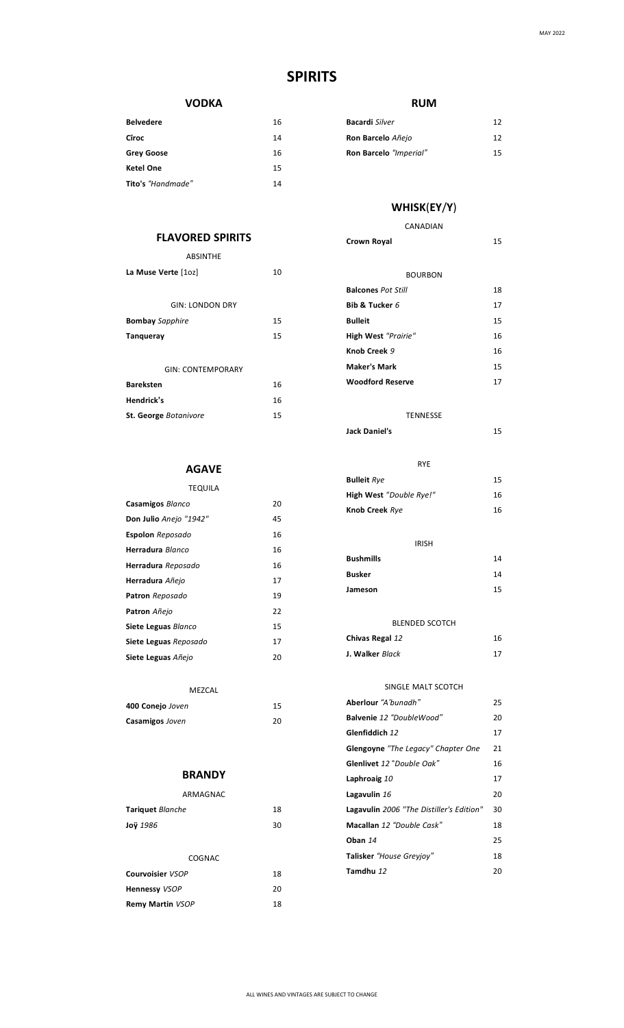### **SPIRITS**

#### **VODKA**

| <b>Belvedere</b>  | 16 |
|-------------------|----|
| Cîroc             | 14 |
| <b>Grey Goose</b> | 16 |
| <b>Ketel One</b>  | 15 |
| Tito's "Handmade" | 14 |
|                   |    |

### **FLAVORED SPIRITS**

| ABSINTHE                     |    |
|------------------------------|----|
| La Muse Verte [10z]          | 10 |
|                              |    |
| <b>GIN: LONDON DRY</b>       |    |
| <b>Bombay</b> Sapphire       | 15 |
| <b>Tanqueray</b>             | 15 |
|                              |    |
| <b>GIN: CONTEMPORARY</b>     |    |
| <b>Bareksten</b>             | 16 |
| Hendrick's                   | 16 |
| <b>St. George Botanivore</b> | 15 |

### **AGAVE**

| <b>TEQUILA</b>          |    |
|-------------------------|----|
| Casamigos Blanco        | 20 |
| Don Julio Anejo "1942"  | 45 |
| <b>Espolon</b> Reposado | 16 |
| Herradura Blanco        | 16 |
| Herradura Reposado      | 16 |
| Herradura Añejo         | 17 |
| <b>Patron</b> Reposado  | 19 |
| Patron Añejo            | 22 |
| Siete Leguas Blanco     | 15 |
| Siete Leguas Reposado   | 17 |
| Siete Leguas Añejo      | 20 |
|                         |    |

| 15 |
|----|
| 20 |
|    |

### **BRANDY**

| ARMAGNAC                |    |
|-------------------------|----|
| <b>Tariquet</b> Blanche | 18 |
| Joÿ 1986                | 30 |
|                         |    |
| COGNAC                  |    |
| Courvoisier VSOP        | 18 |
| <b>Hennessy VSOP</b>    | 20 |
| <b>Remy Martin VSOP</b> | 18 |
|                         |    |

#### **RUM**

| <b>Bacardi</b> Silver  | 12 |
|------------------------|----|
| Ron Barcelo Añejo      | 12 |
| Ron Barcelo "Imperial" | 15 |

## **WHISK**(**EY**/**Y**)

#### CANADIAN **Crown Royal** 15

| <b>BOURBON</b>            |    |
|---------------------------|----|
| <b>Balcones Pot Still</b> | 18 |
| Bib & Tucker $6$          | 17 |
| Bulleit                   | 15 |
| High West "Prairie"       | 16 |
| Knob Creek 9              | 16 |
| Maker's Mark              | 15 |
| Woodford Reserve          | 17 |
|                           |    |

#### TENNESSE

| Jack Daniel's           | 15 |
|-------------------------|----|
| <b>RYE</b>              |    |
| <b>Bulleit</b> Rye      | 15 |
| High West "Double Rye!" | 16 |
| Knob Creek Rye          | 16 |
|                         |    |
|                         |    |

### IRISH **Bushmills** 14 **Busker** 14 **Jameson** 15

| <b>BLENDED SCOTCH</b> |    |
|-----------------------|----|
| Chivas Regal 12       | 16 |
| J. Walker Black       | 17 |

#### SINGLE MALT SCOTCH

| Aberlour "A'hunadh"                       | 25 |
|-------------------------------------------|----|
| Balvenie 12 "DoubleWood"                  | 20 |
| Glenfiddich 12                            | 17 |
| <b>Glengoyne</b> "The Legacy" Chapter One | 21 |
| <b>Glenlivet</b> 12 "Double Oak"          | 16 |
| Laphroaig 10                              | 17 |
| Lagavulin 16                              | 20 |
| Lagavulin 2006 "The Distiller's Edition"  | 30 |
| Macallan 12 "Double Cask"                 | 18 |
| Oban 14                                   | 25 |
| Talisker "House Greviov"                  | 18 |
| Tamdhu 12                                 | 20 |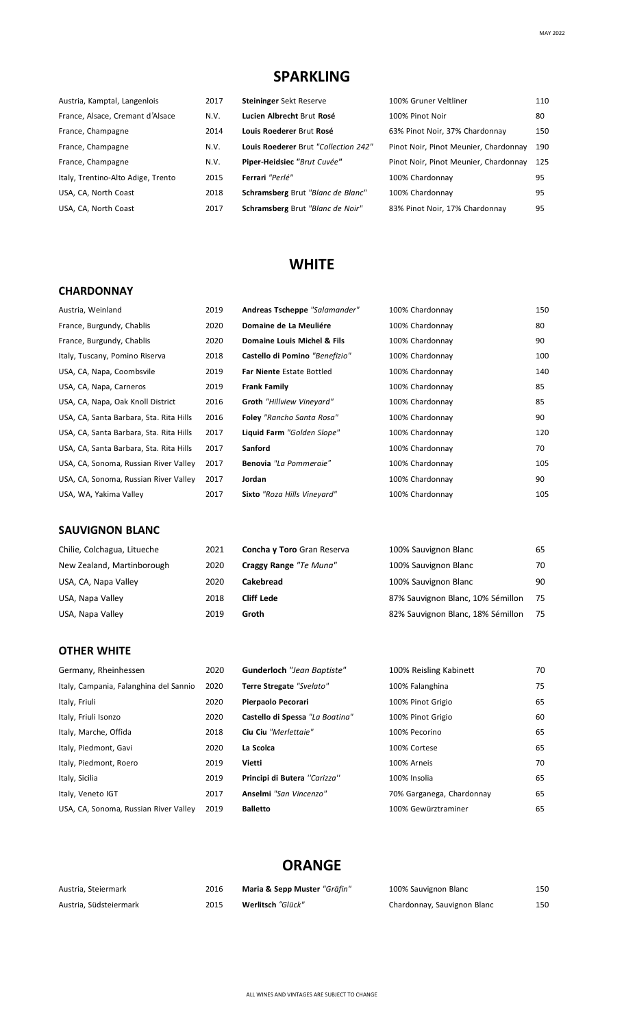## **SPARKLING**

| Austria, Kamptal, Langenlois       | 2017 | Steininger Sekt Reserve              | 100% Gruner Veltliner                 | 110 |
|------------------------------------|------|--------------------------------------|---------------------------------------|-----|
| France, Alsace, Cremant d'Alsace   | N.V. | Lucien Albrecht Brut Rosé            | 100% Pinot Noir                       | 80  |
| France, Champagne                  | 2014 | Louis Roederer Brut Rosé             | 63% Pinot Noir, 37% Chardonnay        | 150 |
| France, Champagne                  | N.V. | Louis Roederer Brut "Collection 242" | Pinot Noir, Pinot Meunier, Chardonnay | 190 |
| France, Champagne                  | N.V. | Piper-Heidsiec "Brut Cuvée"          | Pinot Noir, Pinot Meunier, Chardonnay | 125 |
| Italy, Trentino-Alto Adige, Trento | 2015 | Ferrari "Perlé"                      | 100% Chardonnay                       | 95  |
| USA, CA, North Coast               | 2018 | Schramsberg Brut "Blanc de Blanc"    | 100% Chardonnay                       | 95  |
| USA, CA, North Coast               | 2017 | Schramsberg Brut "Blanc de Noir"     | 83% Pinot Noir, 17% Chardonnay        | 95  |
|                                    |      |                                      |                                       |     |

### **WHITE**

#### **CHARDONNAY**

| Austria, Weinland                       | 2019 | Andreas Tscheppe "Salamander"      | 100% Chardonnay | 150 |
|-----------------------------------------|------|------------------------------------|-----------------|-----|
| France, Burgundy, Chablis               | 2020 | Domaine de La Meuliére             | 100% Chardonnay | 80  |
| France, Burgundy, Chablis               | 2020 | Domaine Louis Michel & Fils        | 100% Chardonnay | 90  |
| Italy, Tuscany, Pomino Riserva          | 2018 | Castello di Pomino "Benefizio"     | 100% Chardonnay | 100 |
| USA, CA, Napa, Coombsvile               | 2019 | <b>Far Niente Estate Bottled</b>   | 100% Chardonnay | 140 |
| USA, CA, Napa, Carneros                 | 2019 | <b>Frank Family</b>                | 100% Chardonnay | 85  |
| USA, CA, Napa, Oak Knoll District       | 2016 | <b>Groth</b> "Hillview Vineyard"   | 100% Chardonnay | 85  |
| USA, CA, Santa Barbara, Sta. Rita Hills | 2016 | <b>Foley</b> "Rancho Santa Rosa"   | 100% Chardonnay | 90  |
| USA, CA, Santa Barbara, Sta. Rita Hills | 2017 | Liquid Farm "Golden Slope"         | 100% Chardonnay | 120 |
| USA, CA, Santa Barbara, Sta. Rita Hills | 2017 | Sanford                            | 100% Chardonnay | 70  |
| USA, CA, Sonoma, Russian River Valley   | 2017 | Benovia "La Pommeraie"             | 100% Chardonnay | 105 |
| USA, CA, Sonoma, Russian River Valley   | 2017 | Jordan                             | 100% Chardonnay | 90  |
| USA, WA, Yakima Valley                  | 2017 | <b>Sixto</b> "Roza Hills Vineyard" | 100% Chardonnay | 105 |
|                                         |      |                                    |                 |     |
| <b>SAUVIGNON BLANC</b>                  |      |                                    |                 |     |

| Chilie, Colchagua, Litueche | 2021 | Concha y Toro Gran Reserva | 100% Sauvignon Blanc              | 65 |
|-----------------------------|------|----------------------------|-----------------------------------|----|
| New Zealand, Martinborough  | 2020 | Craggy Range "Te Muna"     | 100% Sauvignon Blanc              | 70 |
| USA, CA, Napa Valley        | 2020 | <b>Cakebread</b>           | 100% Sauvignon Blanc              | 90 |
| USA, Napa Valley            | 2018 | <b>Cliff Lede</b>          | 87% Sauvignon Blanc, 10% Sémillon | 75 |
| USA, Napa Valley            | 2019 | Groth                      | 82% Sauvignon Blanc, 18% Sémillon | 75 |

#### **OTHER WHITE**

| Germany, Rheinhessen                   | 2020 |
|----------------------------------------|------|
| Italy, Campania, Falanghina del Sannio | 2020 |
| Italy, Friuli                          | 2020 |
| Italy, Friuli Isonzo                   | 2020 |
| Italy, Marche, Offida                  | 2018 |
| Italy, Piedmont, Gavi                  | 2020 |
| Italy, Piedmont, Roero                 | 2019 |
| Italy, Sicilia                         | 2019 |
| Italy, Veneto IGT                      | 2017 |
| USA, CA, Sonoma, Russian River Valley  | 2019 |

| Germany, Rheinhessen                   | 2020 | <b>Gunderloch</b> "Jean Baptiste" | 100% Reisling Kabinett    | 70 |
|----------------------------------------|------|-----------------------------------|---------------------------|----|
| Italy, Campania, Falanghina del Sannio | 2020 | Terre Stregate "Svelato"          | 100% Falanghina           | 75 |
| Italy, Friuli                          | 2020 | Pierpaolo Pecorari                | 100% Pinot Grigio         | 65 |
| Italy, Friuli Isonzo                   | 2020 | Castello di Spessa "La Boatina"   | 100% Pinot Grigio         | 60 |
| Italy, Marche, Offida                  | 2018 | Ciu Ciu "Merlettaie"              | 100% Pecorino             | 65 |
| Italy, Piedmont, Gavi                  | 2020 | La Scolca                         | 100% Cortese              | 65 |
| Italy, Piedmont, Roero                 | 2019 | Vietti                            | 100% Arneis               | 70 |
| Italy, Sicilia                         | 2019 | Principi di Butera "Carizza"      | 100% Insolia              | 65 |
| Italy, Veneto IGT                      | 2017 | Anselmi "San Vincenzo"            | 70% Garganega, Chardonnay | 65 |
| USA, CA, Sonoma, Russian River Valley  | 2019 | <b>Balletto</b>                   | 100% Gewürztraminer       | 65 |

### **ORANGE**

| Austria, Steiermark    | 2016 | Maria & Sepp Muster "Gräfin" | 100% Sauvignon Blanc        | 150 |
|------------------------|------|------------------------------|-----------------------------|-----|
| Austria, Südsteiermark | 2015 | Werlitsch "Glück"            | Chardonnay, Sauvignon Blanc | 150 |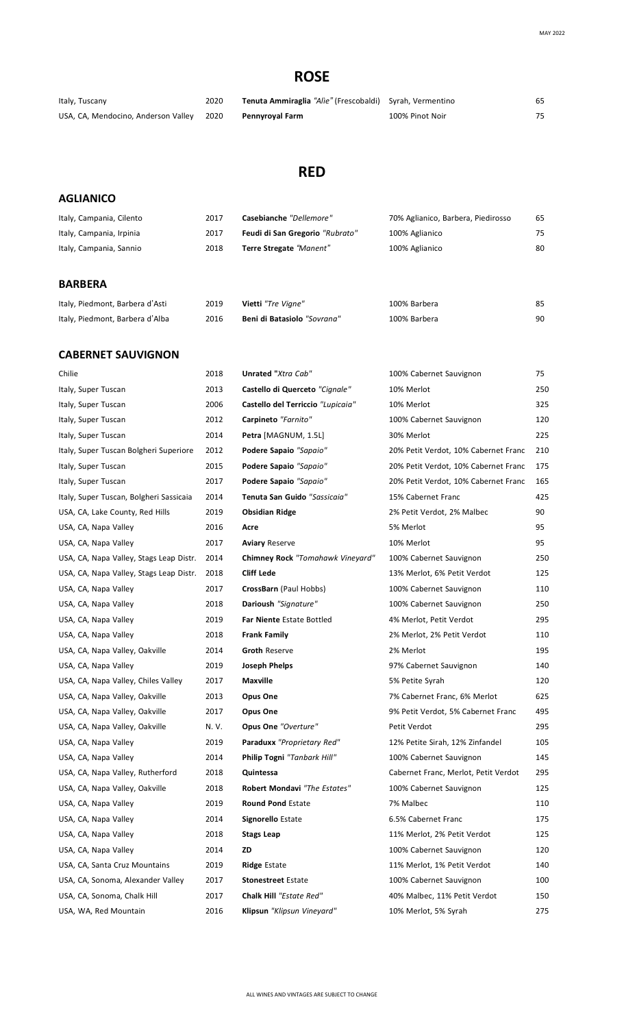# **ROSE**

| Italy, Tuscany                      | 2020 | Tenuta Ammiraglia "Alie" (Frescobaldi) Syrah, Vermentino |                 |  |
|-------------------------------------|------|----------------------------------------------------------|-----------------|--|
| USA, CA, Mendocino, Anderson Valley | 2020 | Pennyroyal Farm                                          | 100% Pinot Noir |  |

# **RED**

### **AGLIANICO**

| Italy, Campania, Cilento | 2017 | Casebianche "Dellemore"         | 70% Aglianico, Barbera, Piedirosso | 65 |
|--------------------------|------|---------------------------------|------------------------------------|----|
| Italy, Campania, Irpinia | 2017 | Feudi di San Gregorio "Rubrato" | 100% Aglianico                     | 75 |
| Italy, Campania, Sannio  | 2018 | Terre Stregate "Manent"         | 100% Aglianico                     | 80 |
|                          |      |                                 |                                    |    |

#### **BARBERA**

| Italy, Piedmont, Barbera d'Asti | 2019 | Vietti "Tre Vigne"          | 100% Barbera |    |
|---------------------------------|------|-----------------------------|--------------|----|
| Italy, Piedmont, Barbera d'Alba | 2016 | Beni di Batasiolo "Sovrana" | 100% Barbera | 90 |

#### **CABERNET SAUVIGNON**

| Chilie                                  | 2018  | Unrated "Xtra Cab"                | 100% Cabernet Sauvignon              | 75  |
|-----------------------------------------|-------|-----------------------------------|--------------------------------------|-----|
| Italy, Super Tuscan                     | 2013  | Castello di Querceto "Cignale"    | 10% Merlot                           | 250 |
| Italy, Super Tuscan                     | 2006  | Castello del Terriccio "Lupicaia" | 10% Merlot                           | 325 |
| Italy, Super Tuscan                     | 2012  | Carpineto "Farnito"               | 100% Cabernet Sauvignon              | 120 |
| Italy, Super Tuscan                     | 2014  | Petra [MAGNUM, 1.5L]              | 30% Merlot                           | 225 |
| Italy, Super Tuscan Bolgheri Superiore  | 2012  | Podere Sapaio "Sapaio"            | 20% Petit Verdot, 10% Cabernet Franc | 210 |
| Italy, Super Tuscan                     | 2015  | Podere Sapaio "Sapaio"            | 20% Petit Verdot, 10% Cabernet Franc | 175 |
| Italy, Super Tuscan                     | 2017  | Podere Sapaio "Sapaio"            | 20% Petit Verdot, 10% Cabernet Franc | 165 |
| Italy, Super Tuscan, Bolgheri Sassicaia | 2014  | Tenuta San Guido "Sassicaia"      | 15% Cabernet Franc                   | 425 |
| USA, CA, Lake County, Red Hills         | 2019  | <b>Obsidian Ridge</b>             | 2% Petit Verdot, 2% Malbec           | 90  |
| USA, CA, Napa Valley                    | 2016  | Acre                              | 5% Merlot                            | 95  |
| USA, CA, Napa Valley                    | 2017  | <b>Aviary Reserve</b>             | 10% Merlot                           | 95  |
| USA, CA, Napa Valley, Stags Leap Distr. | 2014  | Chimney Rock "Tomahawk Vineyard"  | 100% Cabernet Sauvignon              | 250 |
| USA, CA, Napa Valley, Stags Leap Distr. | 2018  | <b>Cliff Lede</b>                 | 13% Merlot, 6% Petit Verdot          | 125 |
| USA, CA, Napa Valley                    | 2017  | CrossBarn (Paul Hobbs)            | 100% Cabernet Sauvignon              | 110 |
| USA, CA, Napa Valley                    | 2018  | Darioush "Signature"              | 100% Cabernet Sauvignon              | 250 |
| USA, CA, Napa Valley                    | 2019  | Far Niente Estate Bottled         | 4% Merlot, Petit Verdot              | 295 |
| USA, CA, Napa Valley                    | 2018  | <b>Frank Family</b>               | 2% Merlot, 2% Petit Verdot           | 110 |
| USA, CA, Napa Valley, Oakville          | 2014  | <b>Groth Reserve</b>              | 2% Merlot                            | 195 |
| USA, CA, Napa Valley                    | 2019  | Joseph Phelps                     | 97% Cabernet Sauvignon               | 140 |
| USA, CA, Napa Valley, Chiles Valley     | 2017  | Maxville                          | 5% Petite Syrah                      | 120 |
| USA, CA, Napa Valley, Oakville          | 2013  | Opus One                          | 7% Cabernet Franc, 6% Merlot         | 625 |
| USA, CA, Napa Valley, Oakville          | 2017  | Opus One                          | 9% Petit Verdot, 5% Cabernet Franc   | 495 |
| USA, CA, Napa Valley, Oakville          | N. V. | Opus One "Overture"               | Petit Verdot                         | 295 |
| USA, CA, Napa Valley                    | 2019  | Paraduxx "Proprietary Red"        | 12% Petite Sirah, 12% Zinfandel      | 105 |
| USA, CA, Napa Valley                    | 2014  | Philip Togni "Tanbark Hill"       | 100% Cabernet Sauvignon              | 145 |
| USA, CA, Napa Valley, Rutherford        | 2018  | Quintessa                         | Cabernet Franc, Merlot, Petit Verdot | 295 |
| USA, CA, Napa Valley, Oakville          | 2018  | Robert Mondavi "The Estates"      | 100% Cabernet Sauvignon              | 125 |
| USA, CA, Napa Valley                    | 2019  | <b>Round Pond Estate</b>          | 7% Malbec                            | 110 |
| USA, CA, Napa Valley                    | 2014  | Signorello Estate                 | 6.5% Cabernet Franc                  | 175 |
| USA, CA, Napa Valley                    | 2018  | <b>Stags Leap</b>                 | 11% Merlot, 2% Petit Verdot          | 125 |
| USA, CA, Napa Valley                    | 2014  | ZD                                | 100% Cabernet Sauvignon              | 120 |
| USA, CA, Santa Cruz Mountains           | 2019  | <b>Ridge Estate</b>               | 11% Merlot, 1% Petit Verdot          | 140 |
| USA, CA, Sonoma, Alexander Valley       | 2017  | <b>Stonestreet Estate</b>         | 100% Cabernet Sauvignon              | 100 |
| USA, CA, Sonoma, Chalk Hill             | 2017  | Chalk Hill "Estate Red"           | 40% Malbec, 11% Petit Verdot         | 150 |
| USA, WA, Red Mountain                   | 2016  | Klipsun "Klipsun Vineyard"        | 10% Merlot, 5% Syrah                 | 275 |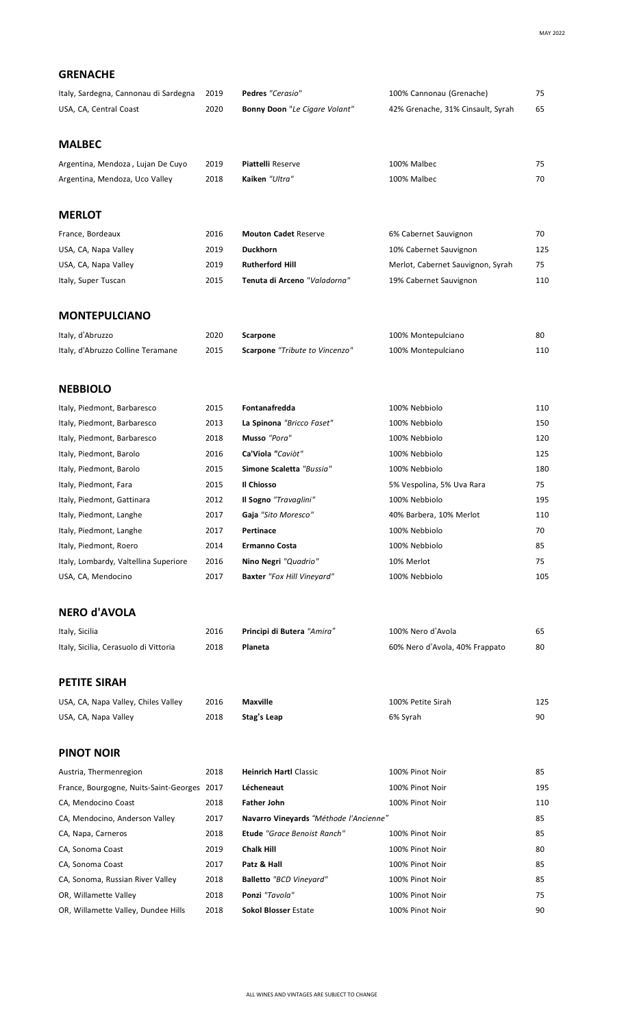| <b>GRENACHE</b>                             |      |                                        |                                   |     |
|---------------------------------------------|------|----------------------------------------|-----------------------------------|-----|
| Italy, Sardegna, Cannonau di Sardegna       | 2019 | Pedres "Cerasio"                       | 100% Cannonau (Grenache)          | 75  |
| USA, CA, Central Coast                      | 2020 | Bonny Doon "Le Cigare Volant"          | 42% Grenache, 31% Cinsault, Syrah | 65  |
|                                             |      |                                        |                                   |     |
| <b>MALBEC</b>                               |      |                                        |                                   |     |
| Argentina, Mendoza, Lujan De Cuyo           | 2019 | <b>Piattelli Reserve</b>               | 100% Malbec                       | 75  |
| Argentina, Mendoza, Uco Valley              | 2018 | Kaiken "Ultra"                         | 100% Malbec                       | 70  |
|                                             |      |                                        |                                   |     |
| <b>MERLOT</b>                               |      |                                        |                                   |     |
| France, Bordeaux                            | 2016 | <b>Mouton Cadet Reserve</b>            | 6% Cabernet Sauvignon             | 70  |
| USA, CA, Napa Valley                        | 2019 | <b>Duckhorn</b>                        | 10% Cabernet Sauvignon            | 125 |
| USA, CA, Napa Valley                        | 2019 | <b>Rutherford Hill</b>                 | Merlot, Cabernet Sauvignon, Syrah | 75  |
| Italy, Super Tuscan                         | 2015 | Tenuta di Arceno "Valadorna"           | 19% Cabernet Sauvignon            | 110 |
|                                             |      |                                        |                                   |     |
| <b>MONTEPULCIANO</b>                        |      |                                        |                                   |     |
| Italy, d'Abruzzo                            | 2020 | Scarpone                               | 100% Montepulciano                | 80  |
| Italy, d'Abruzzo Colline Teramane           | 2015 | Scarpone "Tribute to Vincenzo"         | 100% Montepulciano                | 110 |
|                                             |      |                                        |                                   |     |
| <b>NEBBIOLO</b>                             |      |                                        |                                   |     |
| Italy, Piedmont, Barbaresco                 | 2015 | Fontanafredda                          | 100% Nebbiolo                     | 110 |
| Italy, Piedmont, Barbaresco                 | 2013 | La Spinona "Bricco Faset"              | 100% Nebbiolo                     | 150 |
| Italy, Piedmont, Barbaresco                 | 2018 | Musso "Pora"                           | 100% Nebbiolo                     | 120 |
| Italy, Piedmont, Barolo                     | 2016 | Ca'Viola "Caviòt"                      | 100% Nebbiolo                     | 125 |
| Italy, Piedmont, Barolo                     | 2015 | Simone Scaletta "Bussia"               | 100% Nebbiolo                     | 180 |
| Italy, Piedmont, Fara                       | 2015 | Il Chiosso                             | 5% Vespolina, 5% Uva Rara         | 75  |
| Italy, Piedmont, Gattinara                  | 2012 | Il Sogno "Travaglini"                  | 100% Nebbiolo                     | 195 |
| Italy, Piedmont, Langhe                     | 2017 | Gaja "Sito Moresco"                    | 40% Barbera, 10% Merlot           | 110 |
| Italy, Piedmont, Langhe                     | 2017 | Pertinace                              | 100% Nebbiolo                     | 70  |
| Italy, Piedmont, Roero                      | 2014 | <b>Ermanno Costa</b>                   | 100% Nebbiolo                     | 85  |
| Italy, Lombardy, Valtellina Superiore       | 2016 | Nino Negri "Quadrio"                   | 10% Merlot                        | 75  |
| USA, CA, Mendocino                          | 2017 | <b>Baxter</b> "Fox Hill Vineyard"      | 100% Nebbiolo                     | 105 |
| <b>NERO d'AVOLA</b>                         |      |                                        |                                   |     |
|                                             |      |                                        |                                   |     |
| Italy, Sicilia                              | 2016 | Principi di Butera "Amira"             | 100% Nero d'Avola                 | 65  |
| Italy, Sicilia, Cerasuolo di Vittoria       | 2018 | Planeta                                | 60% Nero d'Avola, 40% Frappato    | 80  |
| <b>PETITE SIRAH</b>                         |      |                                        |                                   |     |
| USA, CA, Napa Valley, Chiles Valley         | 2016 | Maxville                               | 100% Petite Sirah                 | 125 |
| USA, CA, Napa Valley                        | 2018 | Stag's Leap                            | 6% Syrah                          | 90  |
|                                             |      |                                        |                                   |     |
| <b>PINOT NOIR</b>                           |      |                                        |                                   |     |
| Austria, Thermenregion                      | 2018 | <b>Heinrich Hartl Classic</b>          | 100% Pinot Noir                   | 85  |
| France, Bourgogne, Nuits-Saint-Georges 2017 |      | Lécheneaut                             | 100% Pinot Noir                   | 195 |
| CA, Mendocino Coast                         | 2018 | <b>Father John</b>                     | 100% Pinot Noir                   | 110 |
| CA, Mendocino, Anderson Valley              | 2017 | Navarro Vineyards "Méthode l'Ancienne" |                                   | 85  |
| CA, Napa, Carneros                          | 2018 | <b>Etude</b> "Grace Benoist Ranch"     | 100% Pinot Noir                   | 85  |
| CA, Sonoma Coast                            | 2019 | <b>Chalk Hill</b>                      | 100% Pinot Noir                   | 80  |

CA, Sonoma Coast 2017 **Patz & Hall** 100% Pinot Noir 85 CA, Sonoma, Russian River Valley 2018 **Balletto** *"BCD Vineyard"* 100% Pinot Noir 85 OR, Willamette Valley 2018 **Ponzi** *"Tavola"* 100% Pinot Noir 75 OR, Willamette Valley, Dundee Hills 2018 **Sokol Blosser** Estate 100% Pinot Noir 90